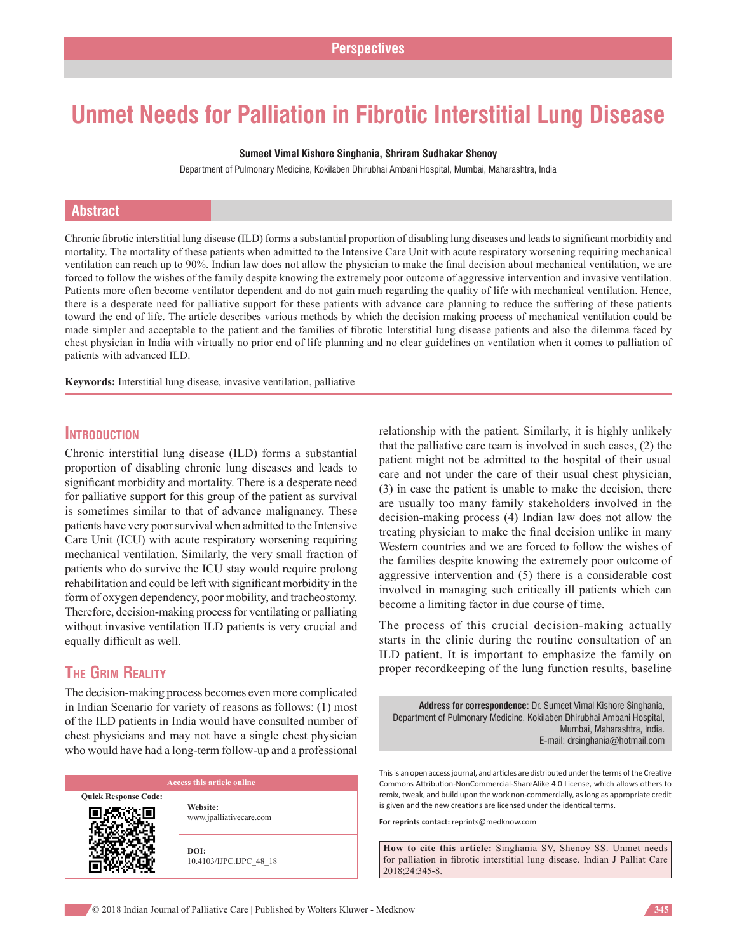# **Unmet Needs for Palliation in Fibrotic Interstitial Lung Disease**

### **Sumeet Vimal Kishore Singhania, Shriram Sudhakar Shenoy**

Department of Pulmonary Medicine, Kokilaben Dhirubhai Ambani Hospital, Mumbai, Maharashtra, India

### **Abstract**

Chronic fibrotic interstitial lung disease (ILD) forms a substantial proportion of disabling lung diseases and leads to significant morbidity and mortality. The mortality of these patients when admitted to the Intensive Care Unit with acute respiratory worsening requiring mechanical ventilation can reach up to 90%. Indian law does not allow the physician to make the final decision about mechanical ventilation, we are forced to follow the wishes of the family despite knowing the extremely poor outcome of aggressive intervention and invasive ventilation. Patients more often become ventilator dependent and do not gain much regarding the quality of life with mechanical ventilation. Hence, there is a desperate need for palliative support for these patients with advance care planning to reduce the suffering of these patients toward the end of life. The article describes various methods by which the decision making process of mechanical ventilation could be made simpler and acceptable to the patient and the families of fibrotic Interstitial lung disease patients and also the dilemma faced by chest physician in India with virtually no prior end of life planning and no clear guidelines on ventilation when it comes to palliation of patients with advanced ILD.

**Keywords:** Interstitial lung disease, invasive ventilation, palliative

### **Introduction**

Chronic interstitial lung disease (ILD) forms a substantial proportion of disabling chronic lung diseases and leads to significant morbidity and mortality. There is a desperate need for palliative support for this group of the patient as survival is sometimes similar to that of advance malignancy. These patients have very poor survival when admitted to the Intensive Care Unit (ICU) with acute respiratory worsening requiring mechanical ventilation. Similarly, the very small fraction of patients who do survive the ICU stay would require prolong rehabilitation and could be left with significant morbidity in the form of oxygen dependency, poor mobility, and tracheostomy. Therefore, decision–making process for ventilating or palliating without invasive ventilation ILD patients is very crucial and equally difficult as well.

# **The Grim Reality**

The decision-making process becomes even more complicated in Indian Scenario for variety of reasons as follows: (1) most of the ILD patients in India would have consulted number of chest physicians and may not have a single chest physician who would have had a long-term follow-up and a professional

**Quick Response Code:**

**Website:** www.jpalliativecare.com

**DOI:** 10.4103/IJPC.IJPC\_48\_18 relationship with the patient. Similarly, it is highly unlikely that the palliative care team is involved in such cases, (2) the patient might not be admitted to the hospital of their usual care and not under the care of their usual chest physician, (3) in case the patient is unable to make the decision, there are usually too many family stakeholders involved in the decision‑making process (4) Indian law does not allow the treating physician to make the final decision unlike in many Western countries and we are forced to follow the wishes of the families despite knowing the extremely poor outcome of aggressive intervention and (5) there is a considerable cost involved in managing such critically ill patients which can become a limiting factor in due course of time.

The process of this crucial decision–making actually starts in the clinic during the routine consultation of an ILD patient. It is important to emphasize the family on proper recordkeeping of the lung function results, baseline

**Address for correspondence:** Dr. Sumeet Vimal Kishore Singhania, Department of Pulmonary Medicine, Kokilaben Dhirubhai Ambani Hospital, Mumbai, Maharashtra, India. E‑mail: drsinghania@hotmail.com

This is an open access journal, and articles are distributed under the terms of the Creative Commons Attribution-NonCommercial-ShareAlike 4.0 License, which allows others to remix, tweak, and build upon the work non-commercially, as long as appropriate credit is given and the new creations are licensed under the identical terms.

**For reprints contact:** reprints@medknow.com

**How to cite this article:** Singhania SV, Shenoy SS. Unmet needs for palliation in fibrotic interstitial lung disease. Indian J Palliat Care 2018;24:345-8.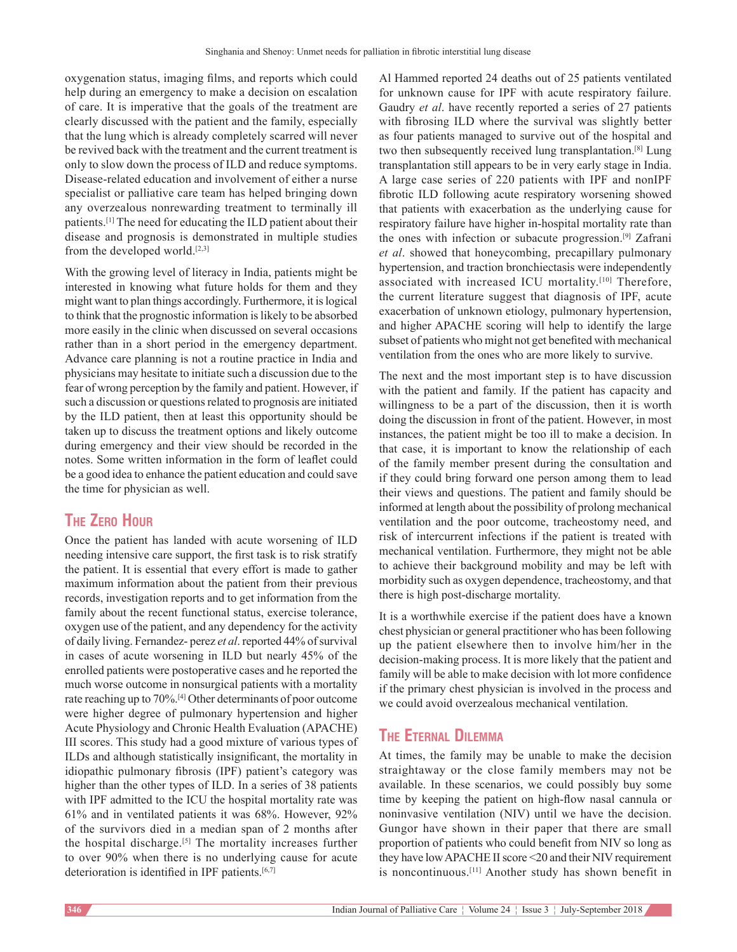oxygenation status, imaging films, and reports which could help during an emergency to make a decision on escalation of care. It is imperative that the goals of the treatment are clearly discussed with the patient and the family, especially that the lung which is already completely scarred will never be revived back with the treatment and the current treatment is only to slow down the process of ILD and reduce symptoms. Disease‑related education and involvement of either a nurse specialist or palliative care team has helped bringing down any overzealous nonrewarding treatment to terminally ill patients.[1] The need for educating the ILD patient about their disease and prognosis is demonstrated in multiple studies from the developed world.<sup>[2,3]</sup>

With the growing level of literacy in India, patients might be interested in knowing what future holds for them and they might want to plan things accordingly. Furthermore, it is logical to think that the prognostic information is likely to be absorbed more easily in the clinic when discussed on several occasions rather than in a short period in the emergency department. Advance care planning is not a routine practice in India and physicians may hesitate to initiate such a discussion due to the fear of wrong perception by the family and patient. However, if such a discussion or questions related to prognosis are initiated by the ILD patient, then at least this opportunity should be taken up to discuss the treatment options and likely outcome during emergency and their view should be recorded in the notes. Some written information in the form of leaflet could be a good idea to enhance the patient education and could save the time for physician as well.

# **The Zero Hour**

Once the patient has landed with acute worsening of ILD needing intensive care support, the first task is to risk stratify the patient. It is essential that every effort is made to gather maximum information about the patient from their previous records, investigation reports and to get information from the family about the recent functional status, exercise tolerance, oxygen use of the patient, and any dependency for the activity of daily living. Fernandez- perez *et al*. reported 44% of survival in cases of acute worsening in ILD but nearly 45% of the enrolled patients were postoperative cases and he reported the much worse outcome in nonsurgical patients with a mortality rate reaching up to 70%.[4] Other determinants of poor outcome were higher degree of pulmonary hypertension and higher Acute Physiology and Chronic Health Evaluation (APACHE) III scores. This study had a good mixture of various types of ILDs and although statistically insignificant, the mortality in idiopathic pulmonary fibrosis (IPF) patient's category was higher than the other types of ILD. In a series of 38 patients with IPF admitted to the ICU the hospital mortality rate was 61% and in ventilated patients it was 68%. However, 92% of the survivors died in a median span of 2 months after the hospital discharge.[5] The mortality increases further to over 90% when there is no underlying cause for acute deterioration is identified in IPF patients.<sup>[6,7]</sup>

Al Hammed reported 24 deaths out of 25 patients ventilated for unknown cause for IPF with acute respiratory failure. Gaudry *et al*. have recently reported a series of 27 patients with fibrosing ILD where the survival was slightly better as four patients managed to survive out of the hospital and two then subsequently received lung transplantation.[8] Lung transplantation still appears to be in very early stage in India. A large case series of 220 patients with IPF and nonIPF fibrotic ILD following acute respiratory worsening showed that patients with exacerbation as the underlying cause for respiratory failure have higher in‑hospital mortality rate than the ones with infection or subacute progression.[9] Zafrani *et al*. showed that honeycombing, precapillary pulmonary hypertension, and traction bronchiectasis were independently associated with increased ICU mortality.[10] Therefore, the current literature suggest that diagnosis of IPF, acute exacerbation of unknown etiology, pulmonary hypertension, and higher APACHE scoring will help to identify the large subset of patients who might not get benefited with mechanical ventilation from the ones who are more likely to survive.

The next and the most important step is to have discussion with the patient and family. If the patient has capacity and willingness to be a part of the discussion, then it is worth doing the discussion in front of the patient. However, in most instances, the patient might be too ill to make a decision. In that case, it is important to know the relationship of each of the family member present during the consultation and if they could bring forward one person among them to lead their views and questions. The patient and family should be informed at length about the possibility of prolong mechanical ventilation and the poor outcome, tracheostomy need, and risk of intercurrent infections if the patient is treated with mechanical ventilation. Furthermore, they might not be able to achieve their background mobility and may be left with morbidity such as oxygen dependence, tracheostomy, and that there is high post-discharge mortality.

It is a worthwhile exercise if the patient does have a known chest physician or general practitioner who has been following up the patient elsewhere then to involve him/her in the decision-making process. It is more likely that the patient and family will be able to make decision with lot more confidence if the primary chest physician is involved in the process and we could avoid overzealous mechanical ventilation.

# **The Eternal Dilemma**

At times, the family may be unable to make the decision straightaway or the close family members may not be available. In these scenarios, we could possibly buy some time by keeping the patient on high-flow nasal cannula or noninvasive ventilation (NIV) until we have the decision. Gungor have shown in their paper that there are small proportion of patients who could benefit from NIV so long as they have low APACHE II score <20 and their NIV requirement is noncontinuous.[11] Another study has shown benefit in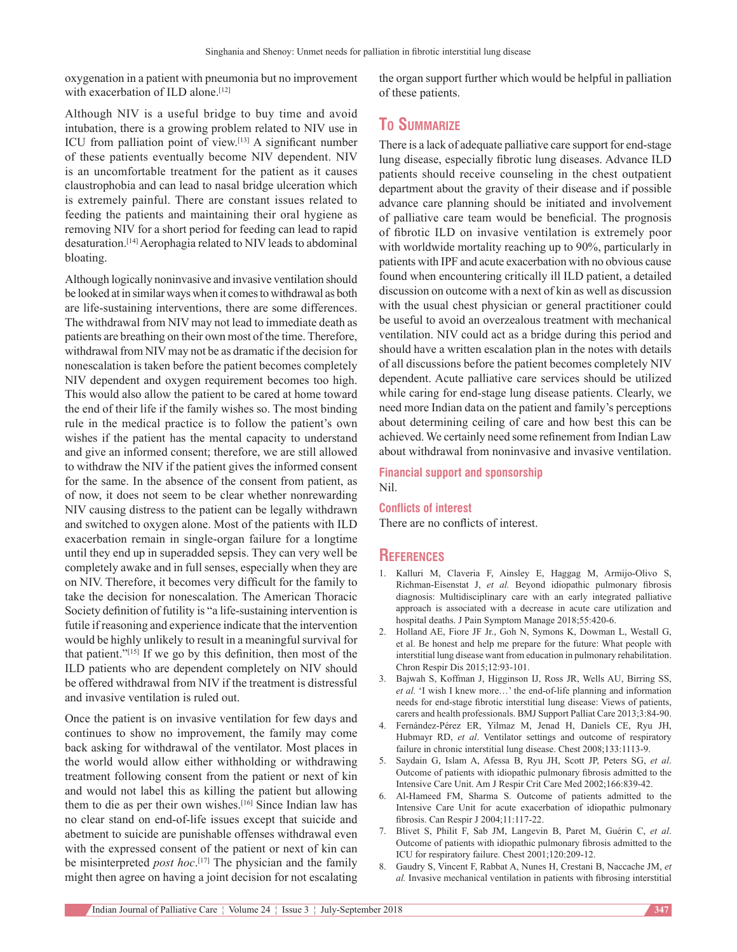oxygenation in a patient with pneumonia but no improvement with exacerbation of ILD alone.<sup>[12]</sup>

Although NIV is a useful bridge to buy time and avoid intubation, there is a growing problem related to NIV use in ICU from palliation point of view.[13] A significant number of these patients eventually become NIV dependent. NIV is an uncomfortable treatment for the patient as it causes claustrophobia and can lead to nasal bridge ulceration which is extremely painful. There are constant issues related to feeding the patients and maintaining their oral hygiene as removing NIV for a short period for feeding can lead to rapid desaturation.[14] Aerophagia related to NIV leads to abdominal bloating.

Although logically noninvasive and invasive ventilation should be looked at in similar ways when it comes to withdrawal as both are life‑sustaining interventions, there are some differences. The withdrawal from NIV may not lead to immediate death as patients are breathing on their own most of the time. Therefore, withdrawal from NIV may not be as dramatic if the decision for nonescalation is taken before the patient becomes completely NIV dependent and oxygen requirement becomes too high. This would also allow the patient to be cared at home toward the end of their life if the family wishes so. The most binding rule in the medical practice is to follow the patient's own wishes if the patient has the mental capacity to understand and give an informed consent; therefore, we are still allowed to withdraw the NIV if the patient gives the informed consent for the same. In the absence of the consent from patient, as of now, it does not seem to be clear whether nonrewarding NIV causing distress to the patient can be legally withdrawn and switched to oxygen alone. Most of the patients with ILD exacerbation remain in single‑organ failure for a longtime until they end up in superadded sepsis. They can very well be completely awake and in full senses, especially when they are on NIV. Therefore, it becomes very difficult for the family to take the decision for nonescalation. The American Thoracic Society definition of futility is "a life‑sustaining intervention is futile if reasoning and experience indicate that the intervention would be highly unlikely to result in a meaningful survival for that patient."[15] If we go by this definition, then most of the ILD patients who are dependent completely on NIV should be offered withdrawal from NIV if the treatment is distressful and invasive ventilation is ruled out.

Once the patient is on invasive ventilation for few days and continues to show no improvement, the family may come back asking for withdrawal of the ventilator. Most places in the world would allow either withholding or withdrawing treatment following consent from the patient or next of kin and would not label this as killing the patient but allowing them to die as per their own wishes.<sup>[16]</sup> Since Indian law has no clear stand on end‑of‑life issues except that suicide and abetment to suicide are punishable offenses withdrawal even with the expressed consent of the patient or next of kin can be misinterpreted *post hoc*. [17] The physician and the family might then agree on having a joint decision for not escalating

the organ support further which would be helpful in palliation of these patients.

## **To Summarize**

There is a lack of adequate palliative care support for end-stage lung disease, especially fibrotic lung diseases. Advance ILD patients should receive counseling in the chest outpatient department about the gravity of their disease and if possible advance care planning should be initiated and involvement of palliative care team would be beneficial. The prognosis of fibrotic ILD on invasive ventilation is extremely poor with worldwide mortality reaching up to 90%, particularly in patients with IPF and acute exacerbation with no obvious cause found when encountering critically ill ILD patient, a detailed discussion on outcome with a next of kin as well as discussion with the usual chest physician or general practitioner could be useful to avoid an overzealous treatment with mechanical ventilation. NIV could act as a bridge during this period and should have a written escalation plan in the notes with details of all discussions before the patient becomes completely NIV dependent. Acute palliative care services should be utilized while caring for end-stage lung disease patients. Clearly, we need more Indian data on the patient and family's perceptions about determining ceiling of care and how best this can be achieved. We certainly need some refinement from Indian Law about withdrawal from noninvasive and invasive ventilation.

**Financial support and sponsorship** Nil.

**Conflicts of interest**

There are no conflicts of interest.

### **References**

- 1. Kalluri M, Claveria F, Ainsley E, Haggag M, Armijo‑Olivo S, Richman‑Eisenstat J, *et al.* Beyond idiopathic pulmonary fibrosis diagnosis: Multidisciplinary care with an early integrated palliative approach is associated with a decrease in acute care utilization and hospital deaths. J Pain Symptom Manage 2018;55:420-6.
- 2. Holland AE, Fiore JF Jr., Goh N, Symons K, Dowman L, Westall G, et al. Be honest and help me prepare for the future: What people with interstitial lung disease want from education in pulmonary rehabilitation. Chron Respir Dis 2015;12:93‑101.
- 3. Bajwah S, Koffman J, Higginson IJ, Ross JR, Wells AU, Birring SS, et al. 'I wish I knew more...' the end-of-life planning and information needs for end‑stage fibrotic interstitial lung disease: Views of patients, carers and health professionals. BMJ Support Palliat Care 2013;3:84-90.
- 4. Fernández‑Pérez ER, Yilmaz M, Jenad H, Daniels CE, Ryu JH, Hubmayr RD, *et al*. Ventilator settings and outcome of respiratory failure in chronic interstitial lung disease. Chest 2008;133:1113‑9.
- 5. Saydain G, Islam A, Afessa B, Ryu JH, Scott JP, Peters SG, *et al*. Outcome of patients with idiopathic pulmonary fibrosis admitted to the Intensive Care Unit. Am J Respir Crit Care Med 2002;166:839-42.
- 6. Al‑Hameed FM, Sharma S. Outcome of patients admitted to the Intensive Care Unit for acute exacerbation of idiopathic pulmonary fibrosis. Can Respir J 2004;11:117‑22.
- 7. Blivet S, Philit F, Sab JM, Langevin B, Paret M, Guérin C, *et al*. Outcome of patients with idiopathic pulmonary fibrosis admitted to the ICU for respiratory failure. Chest 2001;120:209‑12.
- 8. Gaudry S, Vincent F, Rabbat A, Nunes H, Crestani B, Naccache JM, *et al.* Invasive mechanical ventilation in patients with fibrosing interstitial